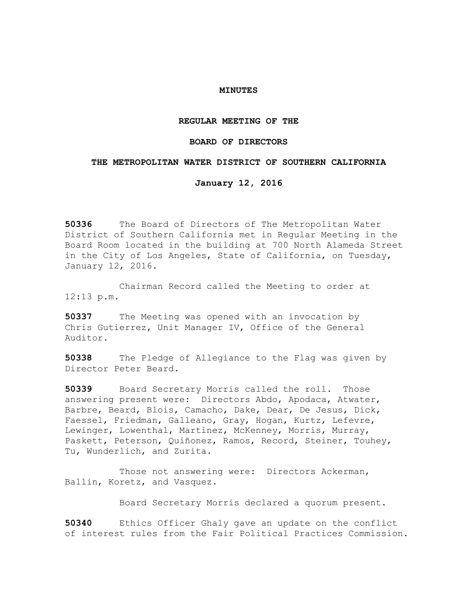## **MINUTES**

### **REGULAR MEETING OF THE**

## **BOARD OF DIRECTORS**

# **THE METROPOLITAN WATER DISTRICT OF SOUTHERN CALIFORNIA**

# **January 12, 2016**

**50336** The Board of Directors of The Metropolitan Water District of Southern California met in Regular Meeting in the Board Room located in the building at 700 North Alameda Street in the City of Los Angeles, State of California, on Tuesday, January 12, 2016.

Chairman Record called the Meeting to order at 12:13 p.m.

**50337** The Meeting was opened with an invocation by Chris Gutierrez, Unit Manager IV, Office of the General Auditor.

**50338** The Pledge of Allegiance to the Flag was given by Director Peter Beard.

**50339** Board Secretary Morris called the roll. Those answering present were: Directors Abdo, Apodaca, Atwater, Barbre, Beard, Blois, Camacho, Dake, Dear, De Jesus, Dick, Faessel, Friedman, Galleano, Gray, Hogan, Kurtz, Lefevre, Lewinger, Lowenthal, Martinez, McKenney, Morris, Murray, Paskett, Peterson, Quiñonez, Ramos, Record, Steiner, Touhey, Tu, Wunderlich, and Zurita.

Those not answering were: Directors Ackerman, Ballin, Koretz, and Vasquez.

Board Secretary Morris declared a quorum present.

**50340** Ethics Officer Ghaly gave an update on the conflict of interest rules from the Fair Political Practices Commission.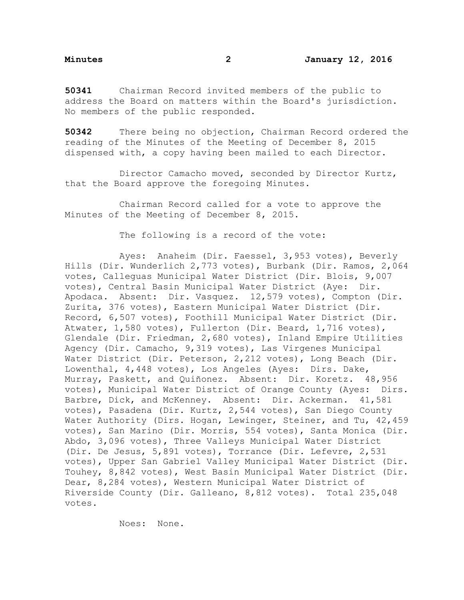**50341** Chairman Record invited members of the public to address the Board on matters within the Board's jurisdiction. No members of the public responded.

**50342** There being no objection, Chairman Record ordered the reading of the Minutes of the Meeting of December 8, 2015 dispensed with, a copy having been mailed to each Director.

Director Camacho moved, seconded by Director Kurtz, that the Board approve the foregoing Minutes.

Chairman Record called for a vote to approve the Minutes of the Meeting of December 8, 2015.

The following is a record of the vote:

Ayes: Anaheim (Dir. Faessel, 3,953 votes), Beverly Hills (Dir. Wunderlich 2,773 votes), Burbank (Dir. Ramos, 2,064 votes, Calleguas Municipal Water District (Dir. Blois, 9,007 votes), Central Basin Municipal Water District (Aye: Dir. Apodaca. Absent: Dir. Vasquez. 12,579 votes), Compton (Dir. Zurita, 376 votes), Eastern Municipal Water District (Dir. Record, 6,507 votes), Foothill Municipal Water District (Dir. Atwater, 1,580 votes), Fullerton (Dir. Beard, 1,716 votes), Glendale (Dir. Friedman, 2,680 votes), Inland Empire Utilities Agency (Dir. Camacho, 9,319 votes), Las Virgenes Municipal Water District (Dir. Peterson, 2,212 votes), Long Beach (Dir. Lowenthal, 4,448 votes), Los Angeles (Ayes: Dirs. Dake, Murray, Paskett, and Quiñonez. Absent: Dir. Koretz. 48,956 votes), Municipal Water District of Orange County (Ayes: Dirs. Barbre, Dick, and McKenney. Absent: Dir. Ackerman. 41,581 votes), Pasadena (Dir. Kurtz, 2,544 votes), San Diego County Water Authority (Dirs. Hogan, Lewinger, Steiner, and Tu, 42,459 votes), San Marino (Dir. Morris, 554 votes), Santa Monica (Dir. Abdo, 3,096 votes), Three Valleys Municipal Water District (Dir. De Jesus, 5,891 votes), Torrance (Dir. Lefevre, 2,531 votes), Upper San Gabriel Valley Municipal Water District (Dir. Touhey, 8,842 votes), West Basin Municipal Water District (Dir. Dear, 8,284 votes), Western Municipal Water District of Riverside County (Dir. Galleano, 8,812 votes). Total 235,048 votes.

Noes: None.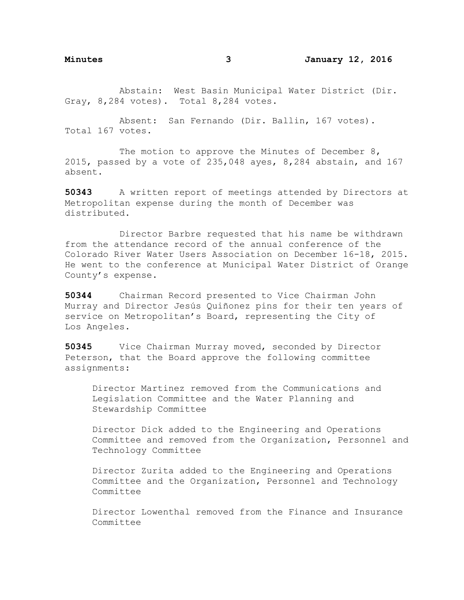Abstain: West Basin Municipal Water District (Dir. Gray, 8,284 votes). Total 8,284 votes.

Absent: San Fernando (Dir. Ballin, 167 votes). Total 167 votes.

The motion to approve the Minutes of December 8, 2015, passed by a vote of 235,048 ayes, 8,284 abstain, and 167 absent.

**50343** A written report of meetings attended by Directors at Metropolitan expense during the month of December was distributed.

Director Barbre requested that his name be withdrawn from the attendance record of the annual conference of the Colorado River Water Users Association on December 16-18, 2015. He went to the conference at Municipal Water District of Orange County's expense.

**50344** Chairman Record presented to Vice Chairman John Murray and Director Jesús Quiñonez pins for their ten years of service on Metropolitan's Board, representing the City of Los Angeles.

**50345** Vice Chairman Murray moved, seconded by Director Peterson, that the Board approve the following committee assignments:

Director Martinez removed from the Communications and Legislation Committee and the Water Planning and Stewardship Committee

Director Dick added to the Engineering and Operations Committee and removed from the Organization, Personnel and Technology Committee

Director Zurita added to the Engineering and Operations Committee and the Organization, Personnel and Technology Committee

Director Lowenthal removed from the Finance and Insurance Committee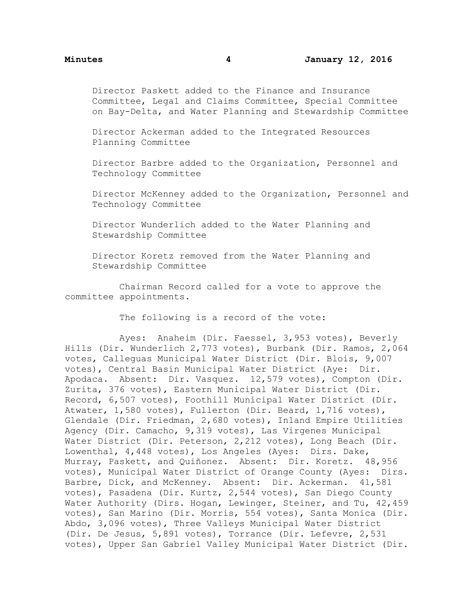Director Paskett added to the Finance and Insurance Committee, Legal and Claims Committee, Special Committee on Bay-Delta, and Water Planning and Stewardship Committee

Director Ackerman added to the Integrated Resources Planning Committee

Director Barbre added to the Organization, Personnel and Technology Committee

Director McKenney added to the Organization, Personnel and Technology Committee

Director Wunderlich added to the Water Planning and Stewardship Committee

Director Koretz removed from the Water Planning and Stewardship Committee

Chairman Record called for a vote to approve the committee appointments.

The following is a record of the vote:

Ayes: Anaheim (Dir. Faessel, 3,953 votes), Beverly Hills (Dir. Wunderlich 2,773 votes), Burbank (Dir. Ramos, 2,064 votes, Calleguas Municipal Water District (Dir. Blois, 9,007 votes), Central Basin Municipal Water District (Aye: Dir. Apodaca. Absent: Dir. Vasquez. 12,579 votes), Compton (Dir. Zurita, 376 votes), Eastern Municipal Water District (Dir. Record, 6,507 votes), Foothill Municipal Water District (Dir. Atwater, 1,580 votes), Fullerton (Dir. Beard, 1,716 votes), Glendale (Dir. Friedman, 2,680 votes), Inland Empire Utilities Agency (Dir. Camacho, 9,319 votes), Las Virgenes Municipal Water District (Dir. Peterson, 2,212 votes), Long Beach (Dir. Lowenthal, 4,448 votes), Los Angeles (Ayes: Dirs. Dake, Murray, Paskett, and Quiñonez. Absent: Dir. Koretz. 48,956 votes), Municipal Water District of Orange County (Ayes: Dirs. Barbre, Dick, and McKenney. Absent: Dir. Ackerman. 41,581 votes), Pasadena (Dir. Kurtz, 2,544 votes), San Diego County Water Authority (Dirs. Hogan, Lewinger, Steiner, and Tu, 42,459 votes), San Marino (Dir. Morris, 554 votes), Santa Monica (Dir. Abdo, 3,096 votes), Three Valleys Municipal Water District (Dir. De Jesus, 5,891 votes), Torrance (Dir. Lefevre, 2,531 votes), Upper San Gabriel Valley Municipal Water District (Dir.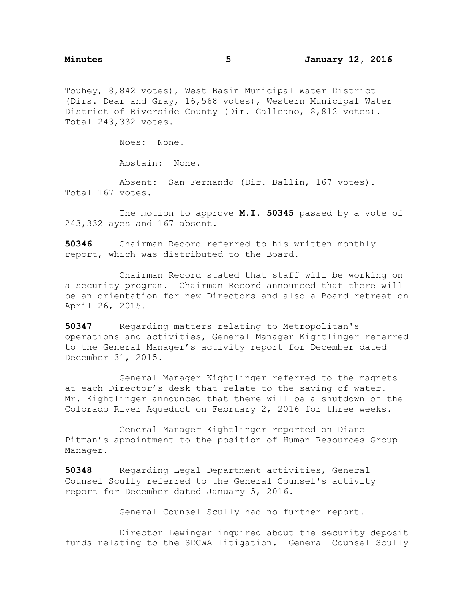Touhey, 8,842 votes), West Basin Municipal Water District (Dirs. Dear and Gray, 16,568 votes), Western Municipal Water District of Riverside County (Dir. Galleano, 8,812 votes). Total 243,332 votes.

Noes: None.

Abstain: None.

Absent: San Fernando (Dir. Ballin, 167 votes). Total 167 votes.

The motion to approve **M.I. 50345** passed by a vote of 243,332 ayes and 167 absent.

**50346** Chairman Record referred to his written monthly report, which was distributed to the Board.

Chairman Record stated that staff will be working on a security program. Chairman Record announced that there will be an orientation for new Directors and also a Board retreat on April 26, 2015.

**50347** Regarding matters relating to Metropolitan's operations and activities, General Manager Kightlinger referred to the General Manager's activity report for December dated December 31, 2015.

General Manager Kightlinger referred to the magnets at each Director's desk that relate to the saving of water. Mr. Kightlinger announced that there will be a shutdown of the Colorado River Aqueduct on February 2, 2016 for three weeks.

General Manager Kightlinger reported on Diane Pitman's appointment to the position of Human Resources Group Manager.

**50348** Regarding Legal Department activities, General Counsel Scully referred to the General Counsel's activity report for December dated January 5, 2016.

General Counsel Scully had no further report.

Director Lewinger inquired about the security deposit funds relating to the SDCWA litigation. General Counsel Scully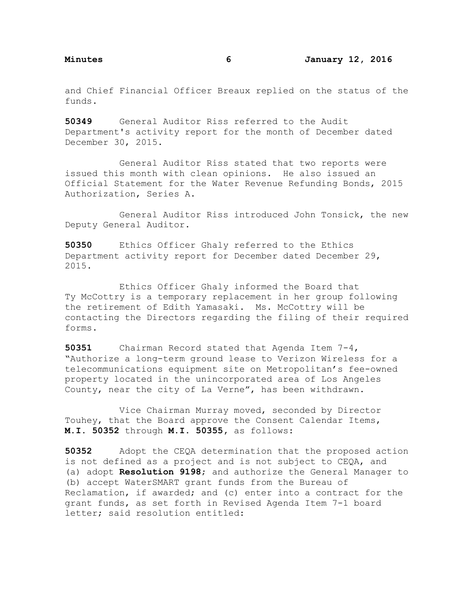and Chief Financial Officer Breaux replied on the status of the funds.

**50349** General Auditor Riss referred to the Audit Department's activity report for the month of December dated December 30, 2015.

General Auditor Riss stated that two reports were issued this month with clean opinions. He also issued an Official Statement for the Water Revenue Refunding Bonds, 2015 Authorization, Series A.

General Auditor Riss introduced John Tonsick, the new Deputy General Auditor.

**50350** Ethics Officer Ghaly referred to the Ethics Department activity report for December dated December 29, 2015.

Ethics Officer Ghaly informed the Board that Ty McCottry is a temporary replacement in her group following the retirement of Edith Yamasaki. Ms. McCottry will be contacting the Directors regarding the filing of their required forms.

**50351** Chairman Record stated that Agenda Item 7-4, "Authorize a long-term ground lease to Verizon Wireless for a telecommunications equipment site on Metropolitan's fee-owned property located in the unincorporated area of Los Angeles County, near the city of La Verne", has been withdrawn.

Vice Chairman Murray moved, seconded by Director Touhey, that the Board approve the Consent Calendar Items, **M.I**. **50352** through **M.I. 50355,** as follows:

**50352** Adopt the CEQA determination that the proposed action is not defined as a project and is not subject to CEQA, and (a) adopt **Resolution 9198**; and authorize the General Manager to (b) accept WaterSMART grant funds from the Bureau of Reclamation, if awarded; and (c) enter into a contract for the grant funds, as set forth in Revised Agenda Item 7-1 board letter; said resolution entitled: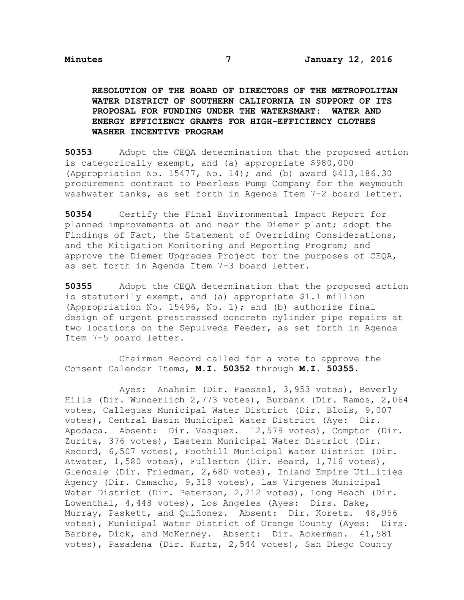**RESOLUTION OF THE BOARD OF DIRECTORS OF THE METROPOLITAN WATER DISTRICT OF SOUTHERN CALIFORNIA IN SUPPORT OF ITS PROPOSAL FOR FUNDING UNDER THE WATERSMART: WATER AND ENERGY EFFICIENCY GRANTS FOR HIGH-EFFICIENCY CLOTHES WASHER INCENTIVE PROGRAM**

**50353** Adopt the CEQA determination that the proposed action is categorically exempt, and (a) appropriate \$980,000 (Appropriation No. 15477, No. 14); and (b) award \$413,186.30 procurement contract to Peerless Pump Company for the Weymouth washwater tanks, as set forth in Agenda Item 7-2 board letter.

**50354** Certify the Final Environmental Impact Report for planned improvements at and near the Diemer plant; adopt the Findings of Fact, the Statement of Overriding Considerations, and the Mitigation Monitoring and Reporting Program; and approve the Diemer Upgrades Project for the purposes of CEQA, as set forth in Agenda Item 7-3 board letter.

**50355** Adopt the CEQA determination that the proposed action is statutorily exempt, and (a) appropriate \$1.1 million (Appropriation No. 15496, No. 1); and (b) authorize final design of urgent prestressed concrete cylinder pipe repairs at two locations on the Sepulveda Feeder, as set forth in Agenda Item 7-5 board letter.

Chairman Record called for a vote to approve the Consent Calendar Items, **M.I. 50352** through **M.I. 50355.**

Ayes: Anaheim (Dir. Faessel, 3,953 votes), Beverly Hills (Dir. Wunderlich 2,773 votes), Burbank (Dir. Ramos, 2,064 votes, Calleguas Municipal Water District (Dir. Blois, 9,007 votes), Central Basin Municipal Water District (Aye: Dir. Apodaca. Absent: Dir. Vasquez. 12,579 votes), Compton (Dir. Zurita, 376 votes), Eastern Municipal Water District (Dir. Record, 6,507 votes), Foothill Municipal Water District (Dir. Atwater, 1,580 votes), Fullerton (Dir. Beard, 1,716 votes), Glendale (Dir. Friedman, 2,680 votes), Inland Empire Utilities Agency (Dir. Camacho, 9,319 votes), Las Virgenes Municipal Water District (Dir. Peterson, 2,212 votes), Long Beach (Dir. Lowenthal, 4,448 votes), Los Angeles (Ayes: Dirs. Dake, Murray, Paskett, and Quiñonez. Absent: Dir. Koretz. 48,956 votes), Municipal Water District of Orange County (Ayes: Dirs. Barbre, Dick, and McKenney. Absent: Dir. Ackerman. 41,581 votes), Pasadena (Dir. Kurtz, 2,544 votes), San Diego County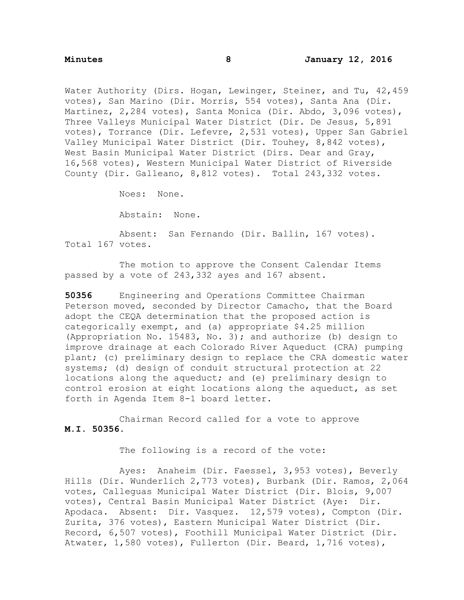Water Authority (Dirs. Hogan, Lewinger, Steiner, and Tu, 42,459 votes), San Marino (Dir. Morris, 554 votes), Santa Ana (Dir. Martinez, 2,284 votes), Santa Monica (Dir. Abdo, 3,096 votes), Three Valleys Municipal Water District (Dir. De Jesus, 5,891 votes), Torrance (Dir. Lefevre, 2,531 votes), Upper San Gabriel Valley Municipal Water District (Dir. Touhey, 8,842 votes), West Basin Municipal Water District (Dirs. Dear and Gray, 16,568 votes), Western Municipal Water District of Riverside County (Dir. Galleano, 8,812 votes). Total 243,332 votes.

Noes: None.

Abstain: None.

Absent: San Fernando (Dir. Ballin, 167 votes). Total 167 votes.

The motion to approve the Consent Calendar Items passed by a vote of 243,332 ayes and 167 absent.

**50356** Engineering and Operations Committee Chairman Peterson moved, seconded by Director Camacho, that the Board adopt the CEQA determination that the proposed action is categorically exempt, and (a) appropriate \$4.25 million (Appropriation No. 15483, No. 3); and authorize (b) design to improve drainage at each Colorado River Aqueduct (CRA) pumping plant; (c) preliminary design to replace the CRA domestic water systems; (d) design of conduit structural protection at 22 locations along the aqueduct; and (e) preliminary design to control erosion at eight locations along the aqueduct, as set forth in Agenda Item 8-1 board letter.

Chairman Record called for a vote to approve **M.I. 50356.**

The following is a record of the vote:

Ayes: Anaheim (Dir. Faessel, 3,953 votes), Beverly Hills (Dir. Wunderlich 2,773 votes), Burbank (Dir. Ramos, 2,064 votes, Calleguas Municipal Water District (Dir. Blois, 9,007 votes), Central Basin Municipal Water District (Aye: Dir. Apodaca. Absent: Dir. Vasquez. 12,579 votes), Compton (Dir. Zurita, 376 votes), Eastern Municipal Water District (Dir. Record, 6,507 votes), Foothill Municipal Water District (Dir. Atwater, 1,580 votes), Fullerton (Dir. Beard, 1,716 votes),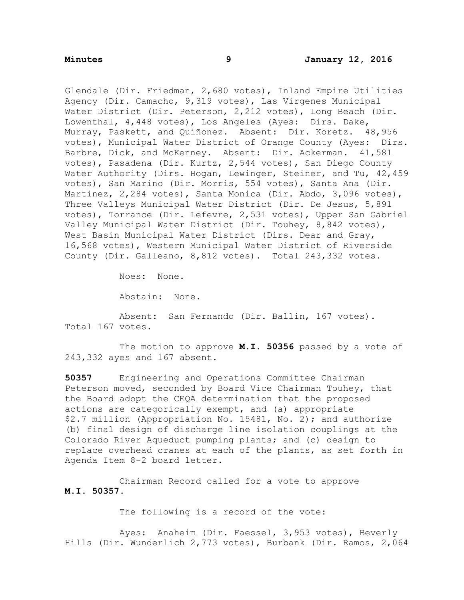Glendale (Dir. Friedman, 2,680 votes), Inland Empire Utilities Agency (Dir. Camacho, 9,319 votes), Las Virgenes Municipal Water District (Dir. Peterson, 2,212 votes), Long Beach (Dir. Lowenthal, 4,448 votes), Los Angeles (Ayes: Dirs. Dake, Murray, Paskett, and Quiñonez. Absent: Dir. Koretz. 48,956 votes), Municipal Water District of Orange County (Ayes: Dirs. Barbre, Dick, and McKenney. Absent: Dir. Ackerman. 41,581 votes), Pasadena (Dir. Kurtz, 2,544 votes), San Diego County Water Authority (Dirs. Hogan, Lewinger, Steiner, and Tu, 42,459 votes), San Marino (Dir. Morris, 554 votes), Santa Ana (Dir. Martinez, 2,284 votes), Santa Monica (Dir. Abdo, 3,096 votes), Three Valleys Municipal Water District (Dir. De Jesus, 5,891 votes), Torrance (Dir. Lefevre, 2,531 votes), Upper San Gabriel Valley Municipal Water District (Dir. Touhey, 8,842 votes), West Basin Municipal Water District (Dirs. Dear and Gray, 16,568 votes), Western Municipal Water District of Riverside County (Dir. Galleano, 8,812 votes). Total 243,332 votes.

Noes: None.

Abstain: None.

Absent: San Fernando (Dir. Ballin, 167 votes). Total 167 votes.

The motion to approve **M.I. 50356** passed by a vote of 243,332 ayes and 167 absent.

**50357** Engineering and Operations Committee Chairman Peterson moved, seconded by Board Vice Chairman Touhey, that the Board adopt the CEQA determination that the proposed actions are categorically exempt, and (a) appropriate \$2.7 million (Appropriation No. 15481, No. 2); and authorize (b) final design of discharge line isolation couplings at the Colorado River Aqueduct pumping plants; and (c) design to replace overhead cranes at each of the plants, as set forth in Agenda Item 8-2 board letter.

Chairman Record called for a vote to approve **M.I. 50357.**

The following is a record of the vote:

Ayes: Anaheim (Dir. Faessel, 3,953 votes), Beverly Hills (Dir. Wunderlich 2,773 votes), Burbank (Dir. Ramos, 2,064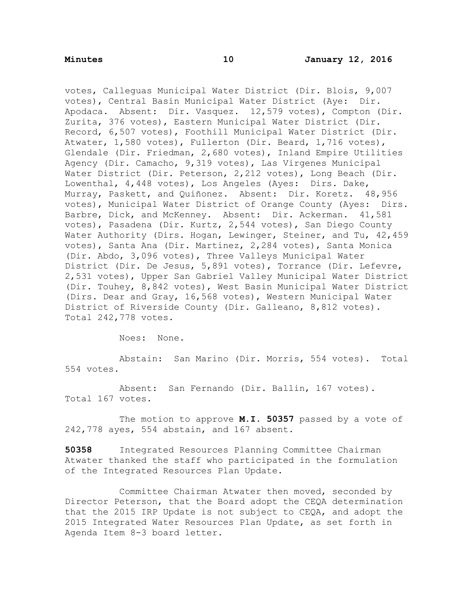votes, Calleguas Municipal Water District (Dir. Blois, 9,007 votes), Central Basin Municipal Water District (Aye: Dir. Apodaca. Absent: Dir. Vasquez. 12,579 votes), Compton (Dir. Zurita, 376 votes), Eastern Municipal Water District (Dir. Record, 6,507 votes), Foothill Municipal Water District (Dir. Atwater, 1,580 votes), Fullerton (Dir. Beard, 1,716 votes), Glendale (Dir. Friedman, 2,680 votes), Inland Empire Utilities Agency (Dir. Camacho, 9,319 votes), Las Virgenes Municipal Water District (Dir. Peterson, 2,212 votes), Long Beach (Dir. Lowenthal, 4,448 votes), Los Angeles (Ayes: Dirs. Dake, Murray, Paskett, and Quiñonez. Absent: Dir. Koretz. 48,956 votes), Municipal Water District of Orange County (Ayes: Dirs. Barbre, Dick, and McKenney. Absent: Dir. Ackerman. 41,581 votes), Pasadena (Dir. Kurtz, 2,544 votes), San Diego County Water Authority (Dirs. Hogan, Lewinger, Steiner, and Tu, 42,459 votes), Santa Ana (Dir. Martinez, 2,284 votes), Santa Monica (Dir. Abdo, 3,096 votes), Three Valleys Municipal Water District (Dir. De Jesus, 5,891 votes), Torrance (Dir. Lefevre, 2,531 votes), Upper San Gabriel Valley Municipal Water District (Dir. Touhey, 8,842 votes), West Basin Municipal Water District (Dirs. Dear and Gray, 16,568 votes), Western Municipal Water District of Riverside County (Dir. Galleano, 8,812 votes). Total 242,778 votes.

Noes: None.

Abstain: San Marino (Dir. Morris, 554 votes). Total 554 votes.

Absent: San Fernando (Dir. Ballin, 167 votes). Total 167 votes.

The motion to approve **M.I. 50357** passed by a vote of 242,778 ayes, 554 abstain, and 167 absent.

**50358** Integrated Resources Planning Committee Chairman Atwater thanked the staff who participated in the formulation of the Integrated Resources Plan Update.

Committee Chairman Atwater then moved, seconded by Director Peterson, that the Board adopt the CEQA determination that the 2015 IRP Update is not subject to CEQA, and adopt the 2015 Integrated Water Resources Plan Update, as set forth in Agenda Item 8-3 board letter.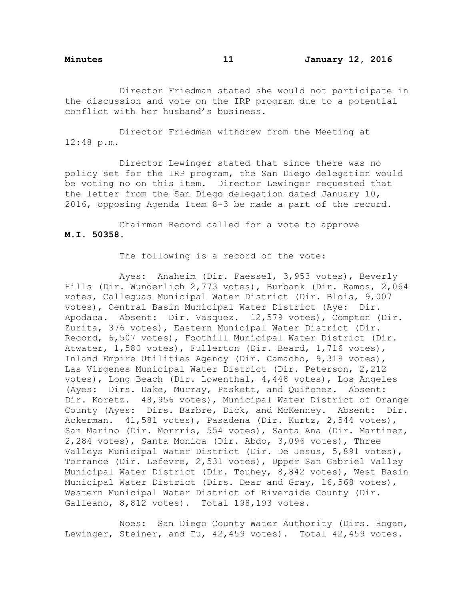Director Friedman stated she would not participate in the discussion and vote on the IRP program due to a potential conflict with her husband's business.

Director Friedman withdrew from the Meeting at 12:48 p.m.

Director Lewinger stated that since there was no policy set for the IRP program, the San Diego delegation would be voting no on this item. Director Lewinger requested that the letter from the San Diego delegation dated January 10, 2016, opposing Agenda Item 8-3 be made a part of the record.

Chairman Record called for a vote to approve **M.I. 50358**.

The following is a record of the vote:

Ayes: Anaheim (Dir. Faessel, 3,953 votes), Beverly Hills (Dir. Wunderlich 2,773 votes), Burbank (Dir. Ramos, 2,064 votes, Calleguas Municipal Water District (Dir. Blois, 9,007 votes), Central Basin Municipal Water District (Aye: Dir. Apodaca. Absent: Dir. Vasquez. 12,579 votes), Compton (Dir. Zurita, 376 votes), Eastern Municipal Water District (Dir. Record, 6,507 votes), Foothill Municipal Water District (Dir. Atwater, 1,580 votes), Fullerton (Dir. Beard, 1,716 votes), Inland Empire Utilities Agency (Dir. Camacho, 9,319 votes), Las Virgenes Municipal Water District (Dir. Peterson, 2,212 votes), Long Beach (Dir. Lowenthal, 4,448 votes), Los Angeles (Ayes: Dirs. Dake, Murray, Paskett, and Quiñonez. Absent: Dir. Koretz. 48,956 votes), Municipal Water District of Orange County (Ayes: Dirs. Barbre, Dick, and McKenney. Absent: Dir. Ackerman. 41,581 votes), Pasadena (Dir. Kurtz, 2,544 votes), San Marino (Dir. Morrris, 554 votes), Santa Ana (Dir. Martinez, 2,284 votes), Santa Monica (Dir. Abdo, 3,096 votes), Three Valleys Municipal Water District (Dir. De Jesus, 5,891 votes), Torrance (Dir. Lefevre, 2,531 votes), Upper San Gabriel Valley Municipal Water District (Dir. Touhey, 8,842 votes), West Basin Municipal Water District (Dirs. Dear and Gray, 16,568 votes), Western Municipal Water District of Riverside County (Dir. Galleano, 8,812 votes). Total 198,193 votes.

Noes: San Diego County Water Authority (Dirs. Hogan, Lewinger, Steiner, and Tu, 42,459 votes). Total 42,459 votes.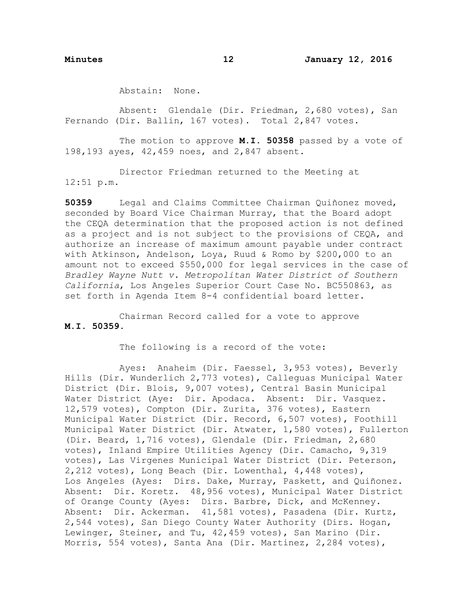Abstain: None.

Absent: Glendale (Dir. Friedman, 2,680 votes), San Fernando (Dir. Ballin, 167 votes). Total 2,847 votes.

The motion to approve **M.I. 50358** passed by a vote of 198,193 ayes, 42,459 noes, and 2,847 absent.

Director Friedman returned to the Meeting at 12:51 p.m.

**50359** Legal and Claims Committee Chairman Quiñonez moved, seconded by Board Vice Chairman Murray, that the Board adopt the CEQA determination that the proposed action is not defined as a project and is not subject to the provisions of CEQA, and authorize an increase of maximum amount payable under contract with Atkinson, Andelson, Loya, Ruud & Romo by \$200,000 to an amount not to exceed \$550,000 for legal services in the case of *Bradley Wayne Nutt v. Metropolitan Water District of Southern California*, Los Angeles Superior Court Case No. BC550863, as set forth in Agenda Item 8-4 confidential board letter.

Chairman Record called for a vote to approve **M.I. 50359**.

The following is a record of the vote:

Ayes: Anaheim (Dir. Faessel, 3,953 votes), Beverly Hills (Dir. Wunderlich 2,773 votes), Calleguas Municipal Water District (Dir. Blois, 9,007 votes), Central Basin Municipal Water District (Aye: Dir. Apodaca. Absent: Dir. Vasquez. 12,579 votes), Compton (Dir. Zurita, 376 votes), Eastern Municipal Water District (Dir. Record, 6,507 votes), Foothill Municipal Water District (Dir. Atwater, 1,580 votes), Fullerton (Dir. Beard, 1,716 votes), Glendale (Dir. Friedman, 2,680 votes), Inland Empire Utilities Agency (Dir. Camacho, 9,319 votes), Las Virgenes Municipal Water District (Dir. Peterson, 2,212 votes), Long Beach (Dir. Lowenthal, 4,448 votes), Los Angeles (Ayes: Dirs. Dake, Murray, Paskett, and Quiñonez. Absent: Dir. Koretz. 48,956 votes), Municipal Water District of Orange County (Ayes: Dirs. Barbre, Dick, and McKenney. Absent: Dir. Ackerman. 41,581 votes), Pasadena (Dir. Kurtz, 2,544 votes), San Diego County Water Authority (Dirs. Hogan, Lewinger, Steiner, and Tu, 42,459 votes), San Marino (Dir. Morris, 554 votes), Santa Ana (Dir. Martinez, 2,284 votes),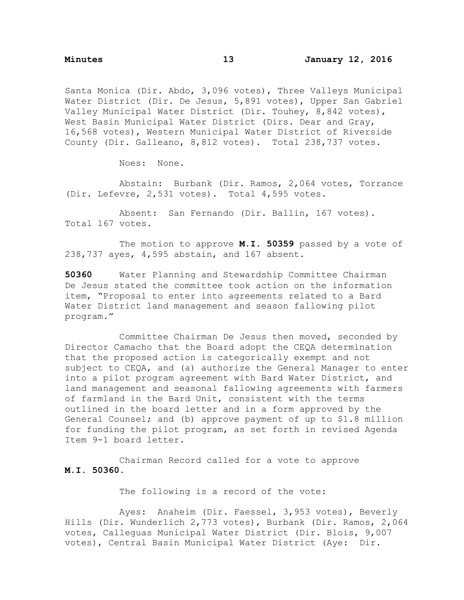Santa Monica (Dir. Abdo, 3,096 votes), Three Valleys Municipal Water District (Dir. De Jesus, 5,891 votes), Upper San Gabriel Valley Municipal Water District (Dir. Touhey, 8,842 votes), West Basin Municipal Water District (Dirs. Dear and Gray, 16,568 votes), Western Municipal Water District of Riverside County (Dir. Galleano, 8,812 votes). Total 238,737 votes.

Noes: None.

Abstain: Burbank (Dir. Ramos, 2,064 votes, Torrance (Dir. Lefevre, 2,531 votes). Total 4,595 votes.

Absent: San Fernando (Dir. Ballin, 167 votes). Total 167 votes.

The motion to approve **M.I. 50359** passed by a vote of 238,737 ayes, 4,595 abstain, and 167 absent.

**50360** Water Planning and Stewardship Committee Chairman De Jesus stated the committee took action on the information item, "Proposal to enter into agreements related to a Bard Water District land management and season fallowing pilot program."

Committee Chairman De Jesus then moved, seconded by Director Camacho that the Board adopt the CEQA determination that the proposed action is categorically exempt and not subject to CEQA, and (a) authorize the General Manager to enter into a pilot program agreement with Bard Water District, and land management and seasonal fallowing agreements with farmers of farmland in the Bard Unit, consistent with the terms outlined in the board letter and in a form approved by the General Counsel; and (b) approve payment of up to \$1.8 million for funding the pilot program, as set forth in revised Agenda Item 9-1 board letter.

Chairman Record called for a vote to approve **M.I. 50360.**

The following is a record of the vote:

Ayes: Anaheim (Dir. Faessel, 3,953 votes), Beverly Hills (Dir. Wunderlich 2,773 votes), Burbank (Dir. Ramos, 2,064 votes, Calleguas Municipal Water District (Dir. Blois, 9,007 votes), Central Basin Municipal Water District (Aye: Dir.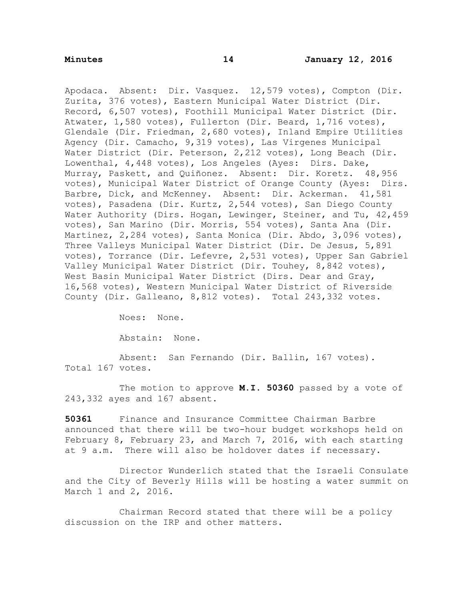Apodaca. Absent: Dir. Vasquez. 12,579 votes), Compton (Dir. Zurita, 376 votes), Eastern Municipal Water District (Dir. Record, 6,507 votes), Foothill Municipal Water District (Dir. Atwater, 1,580 votes), Fullerton (Dir. Beard, 1,716 votes), Glendale (Dir. Friedman, 2,680 votes), Inland Empire Utilities Agency (Dir. Camacho, 9,319 votes), Las Virgenes Municipal Water District (Dir. Peterson, 2,212 votes), Long Beach (Dir. Lowenthal, 4,448 votes), Los Angeles (Ayes: Dirs. Dake, Murray, Paskett, and Quiñonez. Absent: Dir. Koretz. 48,956 votes), Municipal Water District of Orange County (Ayes: Dirs. Barbre, Dick, and McKenney. Absent: Dir. Ackerman. 41,581 votes), Pasadena (Dir. Kurtz, 2,544 votes), San Diego County Water Authority (Dirs. Hogan, Lewinger, Steiner, and Tu, 42,459 votes), San Marino (Dir. Morris, 554 votes), Santa Ana (Dir. Martinez, 2,284 votes), Santa Monica (Dir. Abdo, 3,096 votes), Three Valleys Municipal Water District (Dir. De Jesus, 5,891 votes), Torrance (Dir. Lefevre, 2,531 votes), Upper San Gabriel Valley Municipal Water District (Dir. Touhey, 8,842 votes), West Basin Municipal Water District (Dirs. Dear and Gray, 16,568 votes), Western Municipal Water District of Riverside County (Dir. Galleano, 8,812 votes). Total 243,332 votes.

Noes: None.

Abstain: None.

Absent: San Fernando (Dir. Ballin, 167 votes). Total 167 votes.

The motion to approve **M.I. 50360** passed by a vote of 243,332 ayes and 167 absent.

**50361** Finance and Insurance Committee Chairman Barbre announced that there will be two-hour budget workshops held on February 8, February 23, and March 7, 2016, with each starting at 9 a.m. There will also be holdover dates if necessary.

Director Wunderlich stated that the Israeli Consulate and the City of Beverly Hills will be hosting a water summit on March 1 and 2, 2016.

Chairman Record stated that there will be a policy discussion on the IRP and other matters.